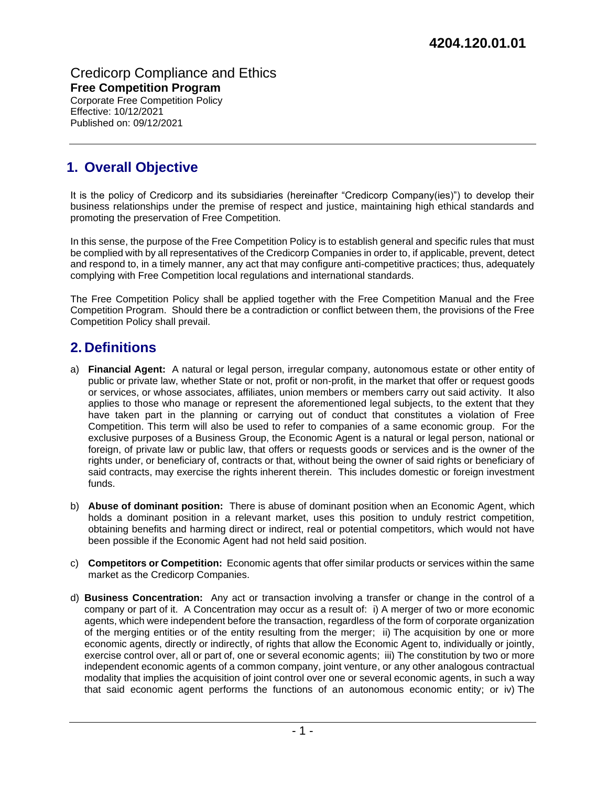Credicorp Compliance and Ethics **Free Competition Program**

Corporate Free Competition Policy Effective: 10/12/2021 Published on: 09/12/2021

# **1. Overall Objective**

It is the policy of Credicorp and its subsidiaries (hereinafter "Credicorp Company(ies)") to develop their business relationships under the premise of respect and justice, maintaining high ethical standards and promoting the preservation of Free Competition.

In this sense, the purpose of the Free Competition Policy is to establish general and specific rules that must be complied with by all representatives of the Credicorp Companies in order to, if applicable, prevent, detect and respond to, in a timely manner, any act that may configure anti-competitive practices; thus, adequately complying with Free Competition local regulations and international standards.

The Free Competition Policy shall be applied together with the Free Competition Manual and the Free Competition Program. Should there be a contradiction or conflict between them, the provisions of the Free Competition Policy shall prevail.

### **2. Definitions**

- a) **Financial Agent:** A natural or legal person, irregular company, autonomous estate or other entity of public or private law, whether State or not, profit or non-profit, in the market that offer or request goods or services, or whose associates, affiliates, union members or members carry out said activity. It also applies to those who manage or represent the aforementioned legal subjects, to the extent that they have taken part in the planning or carrying out of conduct that constitutes a violation of Free Competition. This term will also be used to refer to companies of a same economic group. For the exclusive purposes of a Business Group, the Economic Agent is a natural or legal person, national or foreign, of private law or public law, that offers or requests goods or services and is the owner of the rights under, or beneficiary of, contracts or that, without being the owner of said rights or beneficiary of said contracts, may exercise the rights inherent therein. This includes domestic or foreign investment funds.
- b) **Abuse of dominant position:** There is abuse of dominant position when an Economic Agent, which holds a dominant position in a relevant market, uses this position to unduly restrict competition, obtaining benefits and harming direct or indirect, real or potential competitors, which would not have been possible if the Economic Agent had not held said position.
- c) **Competitors or Competition:** Economic agents that offer similar products or services within the same market as the Credicorp Companies.
- d) **Business Concentration:** Any act or transaction involving a transfer or change in the control of a company or part of it. A Concentration may occur as a result of: i) A merger of two or more economic agents, which were independent before the transaction, regardless of the form of corporate organization of the merging entities or of the entity resulting from the merger; ii) The acquisition by one or more economic agents, directly or indirectly, of rights that allow the Economic Agent to, individually or jointly, exercise control over, all or part of, one or several economic agents; iii) The constitution by two or more independent economic agents of a common company, joint venture, or any other analogous contractual modality that implies the acquisition of joint control over one or several economic agents, in such a way that said economic agent performs the functions of an autonomous economic entity; or iv) The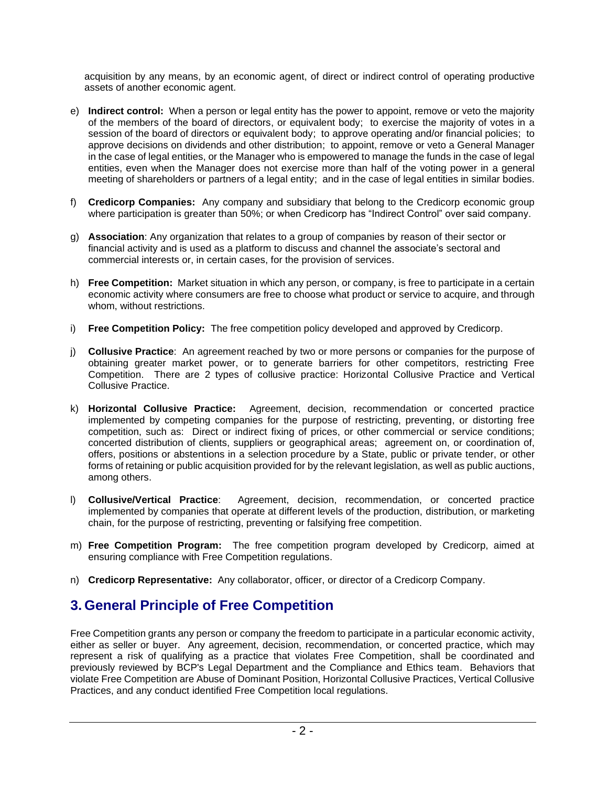acquisition by any means, by an economic agent, of direct or indirect control of operating productive assets of another economic agent.

- e) **Indirect control:** When a person or legal entity has the power to appoint, remove or veto the majority of the members of the board of directors, or equivalent body; to exercise the majority of votes in a session of the board of directors or equivalent body; to approve operating and/or financial policies; to approve decisions on dividends and other distribution; to appoint, remove or veto a General Manager in the case of legal entities, or the Manager who is empowered to manage the funds in the case of legal entities, even when the Manager does not exercise more than half of the voting power in a general meeting of shareholders or partners of a legal entity; and in the case of legal entities in similar bodies.
- f) **Credicorp Companies:** Any company and subsidiary that belong to the Credicorp economic group where participation is greater than 50%; or when Credicorp has "Indirect Control" over said company.
- g) **Association**: Any organization that relates to a group of companies by reason of their sector or financial activity and is used as a platform to discuss and channel the associate's sectoral and commercial interests or, in certain cases, for the provision of services.
- h) **Free Competition:** Market situation in which any person, or company, is free to participate in a certain economic activity where consumers are free to choose what product or service to acquire, and through whom, without restrictions.
- i) **Free Competition Policy:** The free competition policy developed and approved by Credicorp.
- j) **Collusive Practice**: An agreement reached by two or more persons or companies for the purpose of obtaining greater market power, or to generate barriers for other competitors, restricting Free Competition. There are 2 types of collusive practice: Horizontal Collusive Practice and Vertical Collusive Practice.
- k) **Horizontal Collusive Practice:** Agreement, decision, recommendation or concerted practice implemented by competing companies for the purpose of restricting, preventing, or distorting free competition, such as: Direct or indirect fixing of prices, or other commercial or service conditions; concerted distribution of clients, suppliers or geographical areas; agreement on, or coordination of, offers, positions or abstentions in a selection procedure by a State, public or private tender, or other forms of retaining or public acquisition provided for by the relevant legislation, as well as public auctions, among others.
- l) **Collusive/Vertical Practice**: Agreement, decision, recommendation, or concerted practice implemented by companies that operate at different levels of the production, distribution, or marketing chain, for the purpose of restricting, preventing or falsifying free competition.
- m) **Free Competition Program:** The free competition program developed by Credicorp, aimed at ensuring compliance with Free Competition regulations.
- n) **Credicorp Representative:** Any collaborator, officer, or director of a Credicorp Company.

### **3. General Principle of Free Competition**

Free Competition grants any person or company the freedom to participate in a particular economic activity, either as seller or buyer. Any agreement, decision, recommendation, or concerted practice, which may represent a risk of qualifying as a practice that violates Free Competition, shall be coordinated and previously reviewed by BCP's Legal Department and the Compliance and Ethics team. Behaviors that violate Free Competition are Abuse of Dominant Position, Horizontal Collusive Practices, Vertical Collusive Practices, and any conduct identified Free Competition local regulations.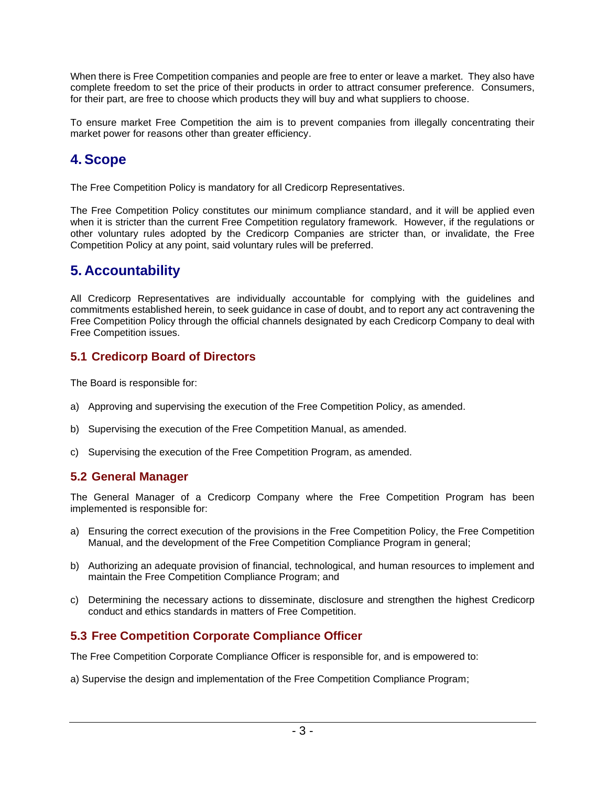When there is Free Competition companies and people are free to enter or leave a market. They also have complete freedom to set the price of their products in order to attract consumer preference. Consumers, for their part, are free to choose which products they will buy and what suppliers to choose.

To ensure market Free Competition the aim is to prevent companies from illegally concentrating their market power for reasons other than greater efficiency.

## **4. Scope**

The Free Competition Policy is mandatory for all Credicorp Representatives.

The Free Competition Policy constitutes our minimum compliance standard, and it will be applied even when it is stricter than the current Free Competition regulatory framework. However, if the regulations or other voluntary rules adopted by the Credicorp Companies are stricter than, or invalidate, the Free Competition Policy at any point, said voluntary rules will be preferred.

### **5. Accountability**

All Credicorp Representatives are individually accountable for complying with the guidelines and commitments established herein, to seek guidance in case of doubt, and to report any act contravening the Free Competition Policy through the official channels designated by each Credicorp Company to deal with Free Competition issues.

### **5.1 Credicorp Board of Directors**

The Board is responsible for:

- a) Approving and supervising the execution of the Free Competition Policy, as amended.
- b) Supervising the execution of the Free Competition Manual, as amended.
- c) Supervising the execution of the Free Competition Program, as amended.

#### **5.2 General Manager**

The General Manager of a Credicorp Company where the Free Competition Program has been implemented is responsible for:

- a) Ensuring the correct execution of the provisions in the Free Competition Policy, the Free Competition Manual, and the development of the Free Competition Compliance Program in general;
- b) Authorizing an adequate provision of financial, technological, and human resources to implement and maintain the Free Competition Compliance Program; and
- c) Determining the necessary actions to disseminate, disclosure and strengthen the highest Credicorp conduct and ethics standards in matters of Free Competition.

### **5.3 Free Competition Corporate Compliance Officer**

The Free Competition Corporate Compliance Officer is responsible for, and is empowered to:

a) Supervise the design and implementation of the Free Competition Compliance Program;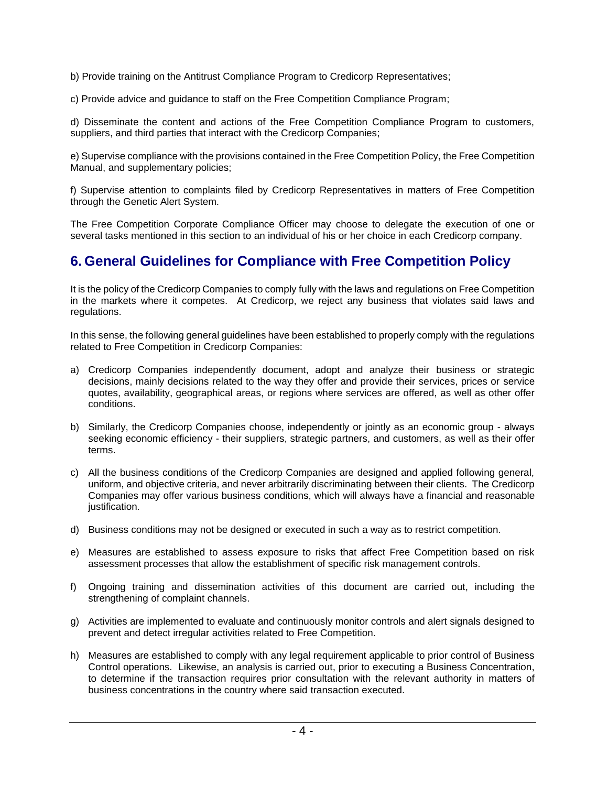b) Provide training on the Antitrust Compliance Program to Credicorp Representatives;

c) Provide advice and guidance to staff on the Free Competition Compliance Program;

d) Disseminate the content and actions of the Free Competition Compliance Program to customers, suppliers, and third parties that interact with the Credicorp Companies;

e) Supervise compliance with the provisions contained in the Free Competition Policy, the Free Competition Manual, and supplementary policies;

f) Supervise attention to complaints filed by Credicorp Representatives in matters of Free Competition through the Genetic Alert System.

The Free Competition Corporate Compliance Officer may choose to delegate the execution of one or several tasks mentioned in this section to an individual of his or her choice in each Credicorp company.

### **6. General Guidelines for Compliance with Free Competition Policy**

It is the policy of the Credicorp Companies to comply fully with the laws and regulations on Free Competition in the markets where it competes. At Credicorp, we reject any business that violates said laws and regulations.

In this sense, the following general guidelines have been established to properly comply with the regulations related to Free Competition in Credicorp Companies:

- a) Credicorp Companies independently document, adopt and analyze their business or strategic decisions, mainly decisions related to the way they offer and provide their services, prices or service quotes, availability, geographical areas, or regions where services are offered, as well as other offer conditions.
- b) Similarly, the Credicorp Companies choose, independently or jointly as an economic group always seeking economic efficiency - their suppliers, strategic partners, and customers, as well as their offer terms.
- c) All the business conditions of the Credicorp Companies are designed and applied following general, uniform, and objective criteria, and never arbitrarily discriminating between their clients. The Credicorp Companies may offer various business conditions, which will always have a financial and reasonable justification.
- d) Business conditions may not be designed or executed in such a way as to restrict competition.
- e) Measures are established to assess exposure to risks that affect Free Competition based on risk assessment processes that allow the establishment of specific risk management controls.
- f) Ongoing training and dissemination activities of this document are carried out, including the strengthening of complaint channels.
- g) Activities are implemented to evaluate and continuously monitor controls and alert signals designed to prevent and detect irregular activities related to Free Competition.
- h) Measures are established to comply with any legal requirement applicable to prior control of Business Control operations. Likewise, an analysis is carried out, prior to executing a Business Concentration, to determine if the transaction requires prior consultation with the relevant authority in matters of business concentrations in the country where said transaction executed.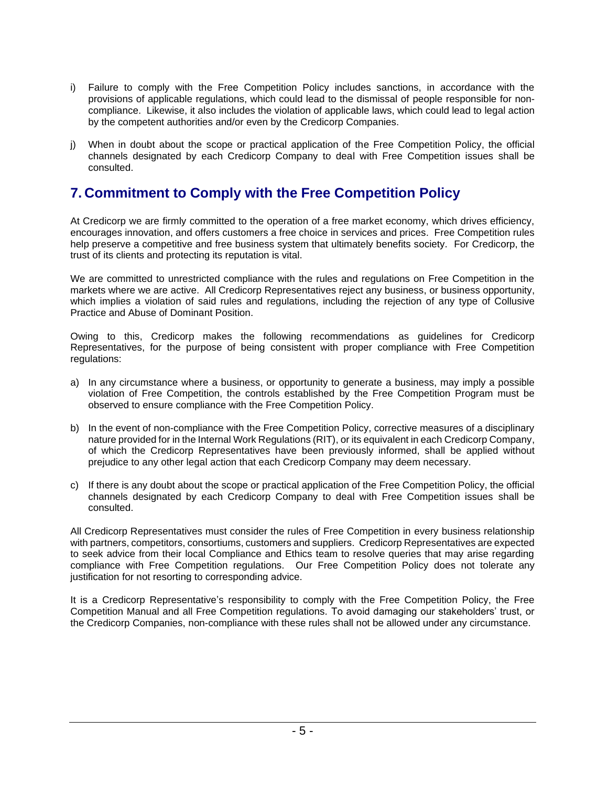- i) Failure to comply with the Free Competition Policy includes sanctions, in accordance with the provisions of applicable regulations, which could lead to the dismissal of people responsible for noncompliance. Likewise, it also includes the violation of applicable laws, which could lead to legal action by the competent authorities and/or even by the Credicorp Companies.
- j) When in doubt about the scope or practical application of the Free Competition Policy, the official channels designated by each Credicorp Company to deal with Free Competition issues shall be consulted.

### **7. Commitment to Comply with the Free Competition Policy**

At Credicorp we are firmly committed to the operation of a free market economy, which drives efficiency, encourages innovation, and offers customers a free choice in services and prices. Free Competition rules help preserve a competitive and free business system that ultimately benefits society. For Credicorp, the trust of its clients and protecting its reputation is vital.

We are committed to unrestricted compliance with the rules and regulations on Free Competition in the markets where we are active. All Credicorp Representatives reject any business, or business opportunity, which implies a violation of said rules and regulations, including the rejection of any type of Collusive Practice and Abuse of Dominant Position.

Owing to this, Credicorp makes the following recommendations as guidelines for Credicorp Representatives, for the purpose of being consistent with proper compliance with Free Competition regulations:

- a) In any circumstance where a business, or opportunity to generate a business, may imply a possible violation of Free Competition, the controls established by the Free Competition Program must be observed to ensure compliance with the Free Competition Policy.
- b) In the event of non-compliance with the Free Competition Policy, corrective measures of a disciplinary nature provided for in the Internal Work Regulations (RIT), or its equivalent in each Credicorp Company, of which the Credicorp Representatives have been previously informed, shall be applied without prejudice to any other legal action that each Credicorp Company may deem necessary.
- c) If there is any doubt about the scope or practical application of the Free Competition Policy, the official channels designated by each Credicorp Company to deal with Free Competition issues shall be consulted.

All Credicorp Representatives must consider the rules of Free Competition in every business relationship with partners, competitors, consortiums, customers and suppliers. Credicorp Representatives are expected to seek advice from their local Compliance and Ethics team to resolve queries that may arise regarding compliance with Free Competition regulations. Our Free Competition Policy does not tolerate any justification for not resorting to corresponding advice.

It is a Credicorp Representative's responsibility to comply with the Free Competition Policy, the Free Competition Manual and all Free Competition regulations. To avoid damaging our stakeholders' trust, or the Credicorp Companies, non-compliance with these rules shall not be allowed under any circumstance.